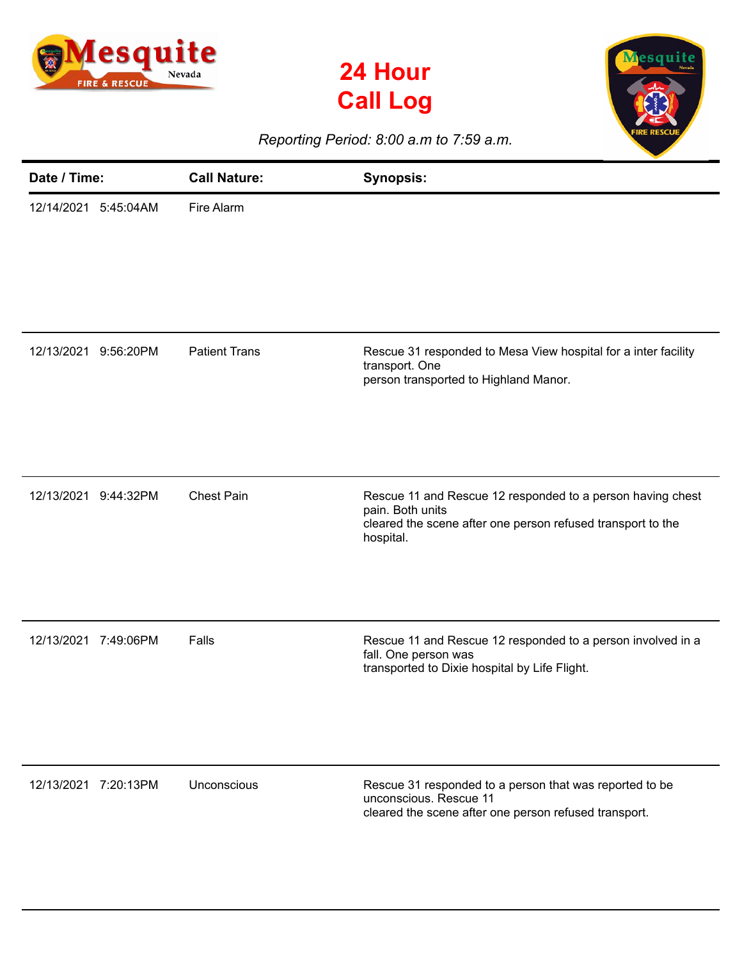





*Reporting Period: 8:00 a.m to 7:59 a.m.*

| Date / Time:            | <b>Call Nature:</b>  | <b>Synopsis:</b>                                                                                                                                           |
|-------------------------|----------------------|------------------------------------------------------------------------------------------------------------------------------------------------------------|
| 12/14/2021<br>5:45:04AM | Fire Alarm           |                                                                                                                                                            |
| 12/13/2021<br>9:56:20PM | <b>Patient Trans</b> | Rescue 31 responded to Mesa View hospital for a inter facility<br>transport. One<br>person transported to Highland Manor.                                  |
| 12/13/2021<br>9:44:32PM | <b>Chest Pain</b>    | Rescue 11 and Rescue 12 responded to a person having chest<br>pain. Both units<br>cleared the scene after one person refused transport to the<br>hospital. |
| 12/13/2021 7:49:06PM    | Falls                | Rescue 11 and Rescue 12 responded to a person involved in a<br>fall. One person was<br>transported to Dixie hospital by Life Flight.                       |
| 12/13/2021 7:20:13PM    | Unconscious          | Rescue 31 responded to a person that was reported to be<br>unconscious. Rescue 11<br>cleared the scene after one person refused transport.                 |